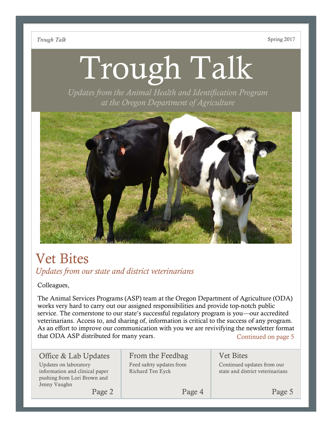# Trough Talk

*Updates from the Animal Health and Identification Program at the Oregon Department of Agriculture*



# Vet Bites *Updates from our state and district veterinarians*

Colleagues,

The Animal Services Programs (ASP) team at the Oregon Department of Agriculture (ODA) works very hard to carry out our assigned responsibilities and provide top-notch public service. The cornerstone to our state's successful regulatory program is you—our accredited veterinarians. Access to, and sharing of, information is critical to the success of any program. As an effort to improve our communication with you we are revivifying the newsletter format that ODA ASP distributed for many years. Continued on page 5

| Office & Lab Updates                                                                                   | From the Feedbag                             | <b>Vet Bites</b>                                               |
|--------------------------------------------------------------------------------------------------------|----------------------------------------------|----------------------------------------------------------------|
| Updates on laboratory<br>information and clinical paper<br>pushing from Lori Brown and<br>Jenny Vaughn | Feed safety updates from<br>Richard Ten Eyck | Continued updates from our<br>state and district veterinarians |
| Page 2                                                                                                 | Page 4                                       | Page 5                                                         |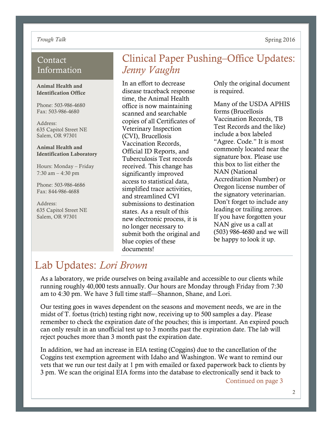## Contact Information

#### Animal Health and Identification Office

Phone: 503-986-4680 Fax: 503-986-4680

Address: 635 Capitol Street NE Salem, OR 97301

#### Animal Health and Identification Laboratory

Hours: Monday – Friday 7:30 am – 4:30 pm

Phone: 503-986-4686 Fax: 844-986-4688

Address: 635 Capitol Street NE Salem, OR 97301

# Clinical Paper Pushing–Office Updates: *Jenny Vaughn*

In an effort to decrease disease traceback response time, the Animal Health office is now maintaining scanned and searchable copies of all Certificates of Veterinary Inspection (CVI), Brucellosis Vaccination Records, Official ID Reports, and Tuberculosis Test records received. This change has significantly improved access to statistical data, simplified trace activities, and streamlined CVI submissions to destination states. As a result of this new electronic process, it is no longer necessary to submit both the original and blue copies of these documents!

Only the original document is required.

Many of the USDA APHIS forms (Brucellosis Vaccination Records, TB Test Records and the like) include a box labeled "Agree. Code." It is most commonly located near the signature box. Please use this box to list either the NAN (National Accreditation Number) or Oregon license number of the signatory veterinarian. Don't forget to include any leading or trailing zeroes. If you have forgotten your NAN give us a call at (503) 986-4680 and we will be happy to look it up.

# Lab Updates: *Lori Brown*

As a laboratory, we pride ourselves on being available and accessible to our clients while running roughly 40,000 tests annually. Our hours are Monday through Friday from 7:30 am to 4:30 pm. We have 3 full time staff—Shannon, Shane, and Lori.

Our testing goes in waves dependent on the seasons and movement needs, we are in the midst of T. foetus (trich) testing right now, receiving up to 500 samples a day. Please remember to check the expiration date of the pouches; this is important. An expired pouch can only result in an unofficial test up to 3 months past the expiration date. The lab will reject pouches more than 3 month past the expiration date.

In addition, we had an increase in EIA testing (Coggins) due to the cancellation of the Coggins test exemption agreement with Idaho and Washington. We want to remind our vets that we run our test daily at 1 pm with emailed or faxed paperwork back to clients by 3 pm. We scan the original EIA forms into the database to electronically send it back to

Continued on page 3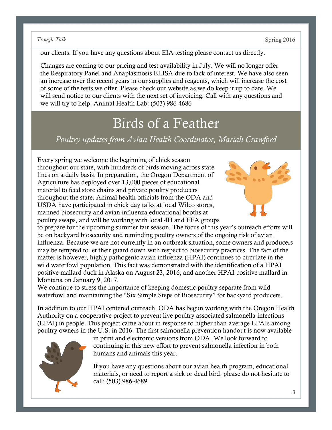our clients. If you have any questions about EIA testing please contact us directly.

Changes are coming to our pricing and test availability in July. We will no longer offer the Respiratory Panel and Anaplasmosis ELISA due to lack of interest. We have also seen an increase over the recent years in our supplies and reagents, which will increase the cost of some of the tests we offer. Please check our website as we do keep it up to date. We will send notice to our clients with the next set of invoicing. Call with any questions and we will try to help! Animal Health Lab: (503) 986-4686

# Birds of a Feather

*Poultry updates from Avian Health Coordinator, Mariah Crawford*

Every spring we welcome the beginning of chick season throughout our state, with hundreds of birds moving across state lines on a daily basis. In preparation, the Oregon Department of Agriculture has deployed over 13,000 pieces of educational material to feed store chains and private poultry producers throughout the state. Animal health officials from the ODA and USDA have participated in chick day talks at local Wilco stores, manned biosecurity and avian influenza educational booths at poultry swaps, and will be working with local 4H and FFA groups



to prepare for the upcoming summer fair season. The focus of this year's outreach efforts will be on backyard biosecurity and reminding poultry owners of the ongoing risk of avian influenza. Because we are not currently in an outbreak situation, some owners and producers may be tempted to let their guard down with respect to biosecurity practices. The fact of the matter is however, highly pathogenic avian influenza (HPAI) continues to circulate in the wild waterfowl population. This fact was demonstrated with the identification of a HPAI positive mallard duck in Alaska on August 23, 2016, and another HPAI positive mallard in Montana on January 9, 2017.

We continue to stress the importance of keeping domestic poultry separate from wild waterfowl and maintaining the "Six Simple Steps of Biosecurity" for backyard producers.

In addition to our HPAI centered outreach, ODA has begun working with the Oregon Health Authority on a cooperative project to prevent live poultry associated salmonella infections (LPAI) in people. This project came about in response to higher-than-average LPAIs among poultry owners in the U.S. in 2016. The first salmonella prevention handout is now available



in print and electronic versions from ODA. We look forward to continuing in this new effort to prevent salmonella infection in both humans and animals this year.

If you have any questions about our avian health program, educational materials, or need to report a sick or dead bird, please do not hesitate to call: (503) 986-4689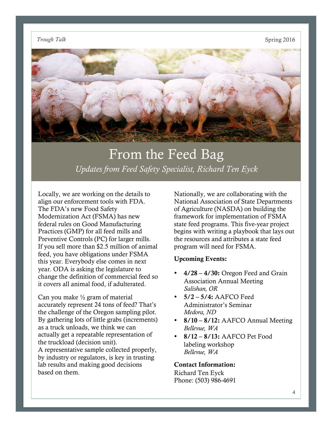

# From the Feed Bag *Updates from Feed Safety Specialist, Richard Ten Eyck*

Locally, we are working on the details to align our enforcement tools with FDA. The FDA's new Food Safety Modernization Act (FSMA) has new federal rules on Good Manufacturing Practices (GMP) for all feed mills and Preventive Controls (PC) for larger mills. If you sell more than \$2.5 million of animal feed, you have obligations under FSMA this year. Everybody else comes in next year. ODA is asking the legislature to change the definition of commercial feed so it covers all animal food, if adulterated.

Can you make  $\frac{1}{2}$  gram of material accurately represent 24 tons of feed? That's the challenge of the Oregon sampling pilot. By gathering lots of little grabs (increments) as a truck unloads, we think we can actually get a repeatable representation of the truckload (decision unit). A representative sample collected properly, by industry or regulators, is key in trusting lab results and making good decisions based on them.

Nationally, we are collaborating with the National Association of State Departments of Agriculture (NASDA) on building the framework for implementation of FSMA state feed programs. This five-year project begins with writing a playbook that lays out the resources and attributes a state feed program will need for FSMA.

#### Upcoming Events:

- $4/28 4/30$ : Oregon Feed and Grain Association Annual Meeting *Salishan, OR*
- $5/2 5/4$ : AAFCO Feed Administrator's Seminar *Medora, ND*
- 8/10 8/12: AAFCO Annual Meeting *Bellevue, WA*
- $\cdot$  8/12 8/13: AAFCO Pet Food labeling workshop *Bellevue, WA*

#### Contact Information:

Richard Ten Eyck Phone: (503) 986-4691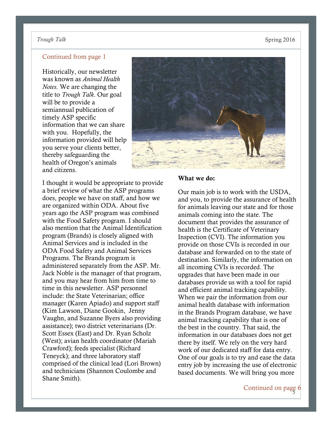## Continued from page 1

Historically, our newsletter was known as *Animal Health Notes*. We are changing the title to *Trough Talk*. Our goal will be to provide a semiannual publication of timely ASP specific information that we can share with you. Hopefully, the information provided will help you serve your clients better, thereby safeguarding the health of Oregon's animals and citizens.

I thought it would be appropriate to provide a brief review of what the ASP programs does, people we have on staff, and how we are organized within ODA. About five years ago the ASP program was combined with the Food Safety program. I should also mention that the Animal Identification program (Brands) is closely aligned with Animal Services and is included in the ODA Food Safety and Animal Services Programs. The Brands program is administered separately from the ASP. Mr. Jack Noble is the manager of that program, and you may hear from him from time to time in this newsletter. ASP personnel include: the State Veterinarian; office manager (Karen Apiado) and support staff (Kim Lawson, Diane Gookin, Jenny Vaughn, and Suzanne Byers also providing assistance); two district veterinarians (Dr. Scott Essex (East) and Dr. Ryan Scholz (West); avian health coordinator (Mariah Crawford); feeds specialist (Richard Teneyck); and three laboratory staff comprised of the clinical lead (Lori Brown) and technicians (Shannon Coulombe and Shane Smith).



#### What we do:

Our main job is to work with the USDA, and you, to provide the assurance of health for animals leaving our state and for those animals coming into the state. The document that provides the assurance of health is the Certificate of Veterinary Inspection (CVI). The information you provide on those CVIs is recorded in our database and forwarded on to the state of destination. Similarly, the information on all incoming CVIs is recorded. The upgrades that have been made in our databases provide us with a tool for rapid and efficient animal tracking capability. When we pair the information from our animal health database with information in the Brands Program database, we have animal tracking capability that is one of the best in the country. That said, the information in our databases does not get there by itself. We rely on the very hard work of our dedicated staff for data entry. One of our goals is to try and ease the data entry job by increasing the use of electronic based documents. We will bring you more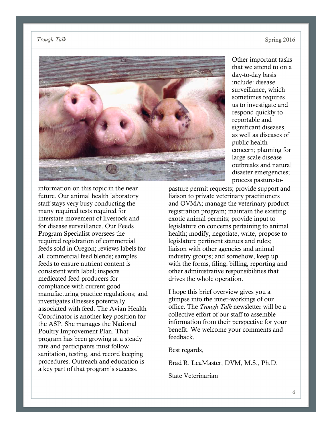

Other important tasks that we attend to on a day-to-day basis include: disease surveillance, which sometimes requires us to investigate and respond quickly to reportable and significant diseases, as well as diseases of public health concern; planning for large-scale disease outbreaks and natural disaster emergencies; process pasture-to-

information on this topic in the near future. Our animal health laboratory staff stays very busy conducting the many required tests required for interstate movement of livestock and for disease surveillance. Our Feeds Program Specialist oversees the required registration of commercial feeds sold in Oregon; reviews labels for all commercial feed blends; samples feeds to ensure nutrient content is consistent with label; inspects medicated feed producers for compliance with current good manufacturing practice regulations; and investigates illnesses potentially associated with feed. The Avian Health Coordinator is another key position for the ASP. She manages the National Poultry Improvement Plan. That program has been growing at a steady rate and participants must follow sanitation, testing, and record keeping procedures. Outreach and education is a key part of that program's success.

pasture permit requests; provide support and liaison to private veterinary practitioners and OVMA; manage the veterinary product registration program; maintain the existing exotic animal permits; provide input to legislature on concerns pertaining to animal health; modify, negotiate, write, propose to legislature pertinent statues and rules; liaison with other agencies and animal industry groups; and somehow, keep up with the forms, filing, billing, reporting and other administrative responsibilities that drives the whole operation.

I hope this brief overview gives you a glimpse into the inner-workings of our office. The *Trough Talk* newsletter will be a collective effort of our staff to assemble information from their perspective for your benefit. We welcome your comments and feedback.

Best regards,

Brad R. LeaMaster, DVM, M.S., Ph.D.

State Veterinarian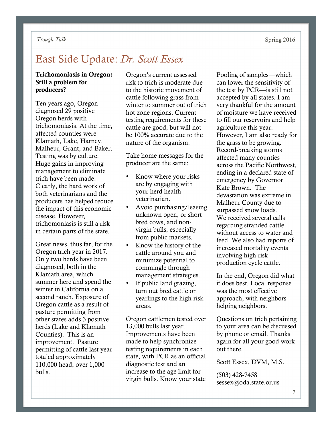# East Side Update: *Dr. Scott Essex*

## Trichomoniasis in Oregon: Still a problem for producers?

Ten years ago, Oregon diagnosed 29 positive Oregon herds with trichomoniasis. At the time, affected counties were Klamath, Lake, Harney, Malheur, Grant, and Baker. Testing was by culture. Huge gains in improving management to eliminate trich have been made. Clearly, the hard work of both veterinarians and the producers has helped reduce the impact of this economic disease. However, trichomoniasis is still a risk in certain parts of the state.

Great news, thus far, for the Oregon trich year in 2017. Only two herds have been diagnosed, both in the Klamath area, which summer here and spend the winter in California on a second ranch. Exposure of Oregon cattle as a result of pasture permitting from other states adds 3 positive herds (Lake and Klamath Counties). This is an improvement. Pasture permitting of cattle last year totaled approximately 110,000 head, over 1,000 bulls.

Oregon's current assessed risk to trich is moderate due to the historic movement of cattle following grass from winter to summer out of trich hot zone regions. Current testing requirements for these cattle are good, but will not be 100% accurate due to the nature of the organism.

Take home messages for the producer are the same:

- Know where your risks are by engaging with your herd health veterinarian.
- Avoid purchasing/leasing unknown open, or short bred cows, and nonvirgin bulls, especially from public markets.
- Know the history of the cattle around you and minimize potential to commingle through management strategies.
- If public land grazing, turn out bred cattle or yearlings to the high-risk areas.

Oregon cattlemen tested over 13,000 bulls last year. Improvements have been made to help synchronize testing requirements in each state, with PCR as an official diagnostic test and an increase to the age limit for virgin bulls. Know your state

Pooling of samples—which can lower the sensitivity of the test by PCR—is still not accepted by all states. I am very thankful for the amount of moisture we have received to fill our reservoirs and help agriculture this year. However, I am also ready for the grass to be growing. Record-breaking storms affected many counties across the Pacific Northwest, ending in a declared state of emergency by Governor Kate Brown. The devastation was extreme in Malheur County due to surpassed snow loads. We received several calls regarding stranded cattle without access to water and feed. We also had reports of increased mortality events involving high-risk production cycle cattle.

In the end, Oregon did what it does best. Local response was the most effective approach, with neighbors helping neighbors.

Questions on trich pertaining to your area can be discussed by phone or email. Thanks again for all your good work out there.

Scott Essex, DVM, M.S.

(503) 428-7458 sessex@oda.state.or.us